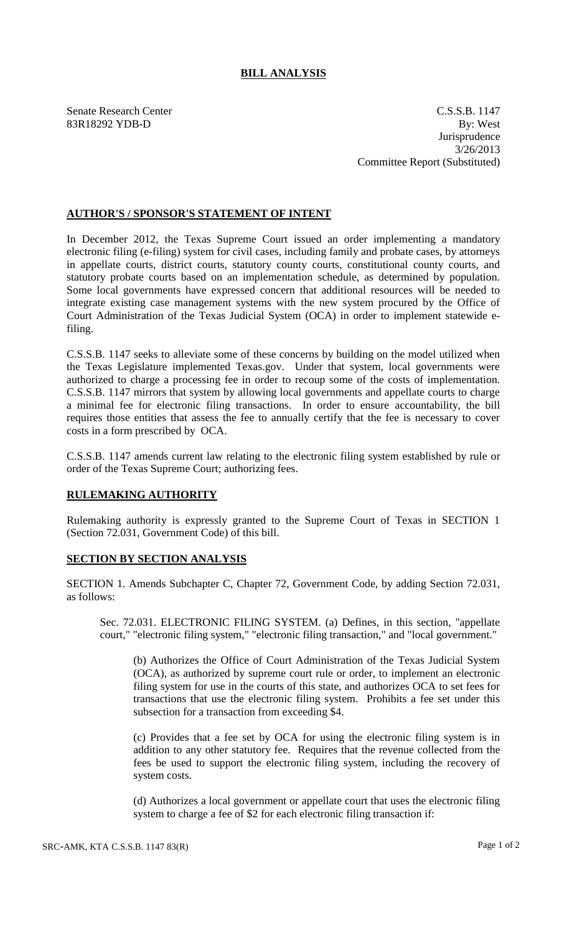## **BILL ANALYSIS**

Senate Research Center C.S.S.B. 1147 83R18292 YDB-D By: West **Jurisprudence** 3/26/2013 Committee Report (Substituted)

## **AUTHOR'S / SPONSOR'S STATEMENT OF INTENT**

In December 2012, the Texas Supreme Court issued an order implementing a mandatory electronic filing (e-filing) system for civil cases, including family and probate cases, by attorneys in appellate courts, district courts, statutory county courts, constitutional county courts, and statutory probate courts based on an implementation schedule, as determined by population. Some local governments have expressed concern that additional resources will be needed to integrate existing case management systems with the new system procured by the Office of Court Administration of the Texas Judicial System (OCA) in order to implement statewide efiling.

C.S.S.B. 1147 seeks to alleviate some of these concerns by building on the model utilized when the Texas Legislature implemented Texas.gov. Under that system, local governments were authorized to charge a processing fee in order to recoup some of the costs of implementation. C.S.S.B. 1147 mirrors that system by allowing local governments and appellate courts to charge a minimal fee for electronic filing transactions. In order to ensure accountability, the bill requires those entities that assess the fee to annually certify that the fee is necessary to cover costs in a form prescribed by OCA.

C.S.S.B. 1147 amends current law relating to the electronic filing system established by rule or order of the Texas Supreme Court; authorizing fees.

## **RULEMAKING AUTHORITY**

Rulemaking authority is expressly granted to the Supreme Court of Texas in SECTION 1 (Section 72.031, Government Code) of this bill.

## **SECTION BY SECTION ANALYSIS**

SECTION 1. Amends Subchapter C, Chapter 72, Government Code, by adding Section 72.031, as follows:

Sec. 72.031. ELECTRONIC FILING SYSTEM. (a) Defines, in this section, "appellate court," "electronic filing system," "electronic filing transaction," and "local government."

(b) Authorizes the Office of Court Administration of the Texas Judicial System (OCA), as authorized by supreme court rule or order, to implement an electronic filing system for use in the courts of this state, and authorizes OCA to set fees for transactions that use the electronic filing system. Prohibits a fee set under this subsection for a transaction from exceeding \$4.

(c) Provides that a fee set by OCA for using the electronic filing system is in addition to any other statutory fee. Requires that the revenue collected from the fees be used to support the electronic filing system, including the recovery of system costs.

(d) Authorizes a local government or appellate court that uses the electronic filing system to charge a fee of \$2 for each electronic filing transaction if: